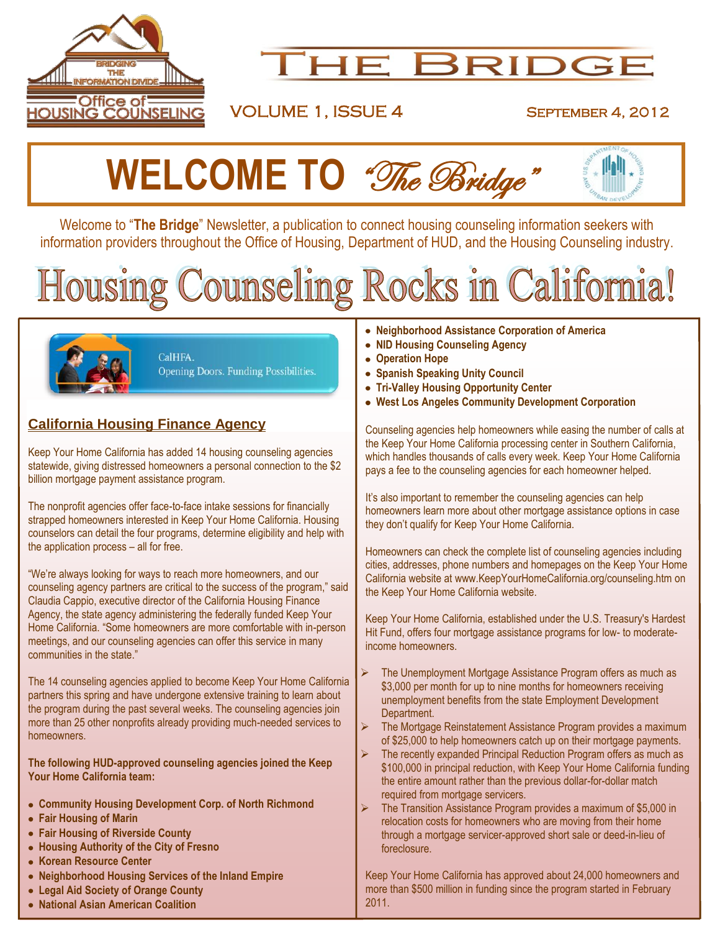

## **HE BRIDGE**

### VOLUME 1, ISSUE 4 September 4, 2012



Welcome to "**The Bridge**" Newsletter, a publication to connect housing counseling information seekers with information providers throughout the Office of Housing, Department of HUD, and the Housing Counseling industry.

## Counseling Rocks in California! lousing



CalHFA. Opening Doors. Funding Possibilities.

#### **California Housing Finance Agency**

Keep Your Home California has added 14 housing counseling agencies statewide, giving distressed homeowners a personal connection to the \$2 billion mortgage payment assistance program.

The nonprofit agencies offer face-to-face intake sessions for financially strapped homeowners interested in Keep Your Home California. Housing counselors can detail the four programs, determine eligibility and help with the application process – all for free.

"We're always looking for ways to reach more homeowners, and our counseling agency partners are critical to the success of the program," said Claudia Cappio, executive director of the California Housing Finance Agency, the state agency administering the federally funded Keep Your Home California. "Some homeowners are more comfortable with in-person meetings, and our counseling agencies can offer this service in many communities in the state."

The 14 counseling agencies applied to become Keep Your Home California partners this spring and have undergone extensive training to learn about the program during the past several weeks. The counseling agencies join more than 25 other nonprofits already providing much-needed services to homeowners.

**The following HUD-approved counseling agencies joined the Keep Your Home California team:**

- **Community Housing Development Corp. of North Richmond**
- **Fair Housing of Marin**
- **Fair Housing of Riverside County**
- **Housing Authority of the City of Fresno**
- **Korean Resource Center**
- **Neighborhood Housing Services of the Inland Empire**
- **Legal Aid Society of Orange County**
- **National Asian American Coalition**
- **Neighborhood Assistance Corporation of America**
- **NID Housing Counseling Agency**
- **Operation Hope**
- **Spanish Speaking Unity Council**
- **Tri-Valley Housing Opportunity Center**
- **West Los Angeles Community Development Corporation**

Counseling agencies help homeowners while easing the number of calls at the Keep Your Home California processing center in Southern California, which handles thousands of calls every week. Keep Your Home California pays a fee to the counseling agencies for each homeowner helped.

It's also important to remember the counseling agencies can help homeowners learn more about other mortgage assistance options in case they don't qualify for Keep Your Home California.

Homeowners can check the complete list of counseling agencies including cities, addresses, phone numbers and homepages on the Keep Your Home California website at [www.KeepYourHomeCalifornia.org/counseling.htm](http://www.keepyourhomecalifornia.org/counseling.htm) on the Keep Your Home California website.

Keep Your Home California, established under the U.S. Treasury's Hardest Hit Fund, offers four mortgage assistance programs for low- to moderateincome homeowners.

- The Unemployment Mortgage Assistance Program offers as much as \$3,000 per month for up to nine months for homeowners receiving unemployment benefits from the state Employment Development Department.
- The Mortgage Reinstatement Assistance Program provides a maximum of \$25,000 to help homeowners catch up on their mortgage payments.
- The recently expanded Principal Reduction Program offers as much as \$100,000 in principal reduction, with Keep Your Home California funding the entire amount rather than the previous dollar-for-dollar match required from mortgage servicers.
- The Transition Assistance Program provides a maximum of \$5,000 in relocation costs for homeowners who are moving from their home through a mortgage servicer-approved short sale or deed-in-lieu of foreclosure.

Keep Your Home California has approved about 24,000 homeowners and more than \$500 million in funding since the program started in February 2011.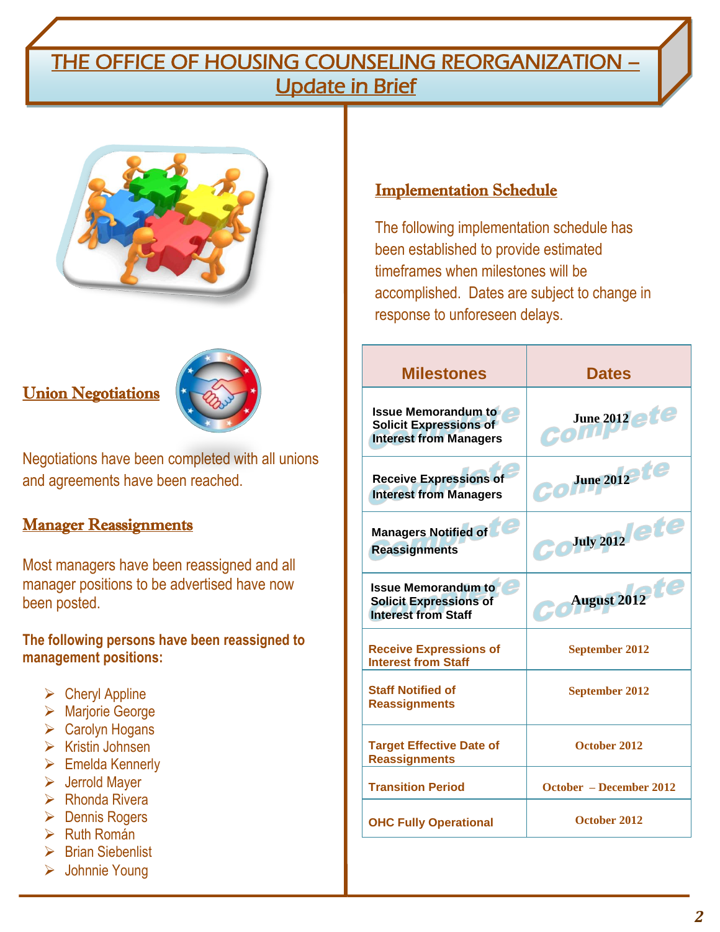## THE OFFICE OF HOUSING COUNSELING REORGANIZATION – Update in Brief



#### **Union Negotiations**



Negotiations have been completed with all unions and agreements have been reached.

#### **Manager Reassignments**

Most managers have been reassigned and all manager positions to be advertised have now been posted.

**The following persons have been reassigned to management positions:**

- $\triangleright$  Cheryl Appline
- Marjorie George
- $\triangleright$  Carolyn Hogans
- $\triangleright$  Kristin Johnsen
- $\triangleright$  Emelda Kennerly
- Jerrold Mayer
- $\triangleright$  Rhonda Rivera
- **►** Dennis Rogers
- $\triangleright$  Ruth Román
- $\triangleright$  Brian Siebenlist
- Johnnie Young

#### Implementation Schedule

The following implementation schedule has been established to provide estimated timeframes when milestones will be accomplished. Dates are subject to change in response to unforeseen delays.

| <b>Milestones</b>                                                                            | <b>Dates</b>            |
|----------------------------------------------------------------------------------------------|-------------------------|
| <b>Issue Memorandum to</b><br><b>Solicit Expressions of</b><br><b>Interest from Managers</b> | June 2012 etc<br>com    |
| <b>Receive Expressions of</b><br><b>Interest from Managers</b>                               | June 2012 te            |
| <b>Managers Notified of</b><br><b>Reassignments</b>                                          | July 2012 ete           |
| <b>Issue Memorandum to</b><br><b>Solicit Expressions of</b><br><b>Interest from Staff</b>    | August 2012             |
| <b>Receive Expressions of</b><br><b>Interest from Staff</b>                                  | <b>September 2012</b>   |
| <b>Staff Notified of</b><br><b>Reassignments</b>                                             | <b>September 2012</b>   |
| <b>Target Effective Date of</b><br><b>Reassignments</b>                                      | October 2012            |
| <b>Transition Period</b>                                                                     | October – December 2012 |
| <b>OHC Fully Operational</b>                                                                 | October 2012            |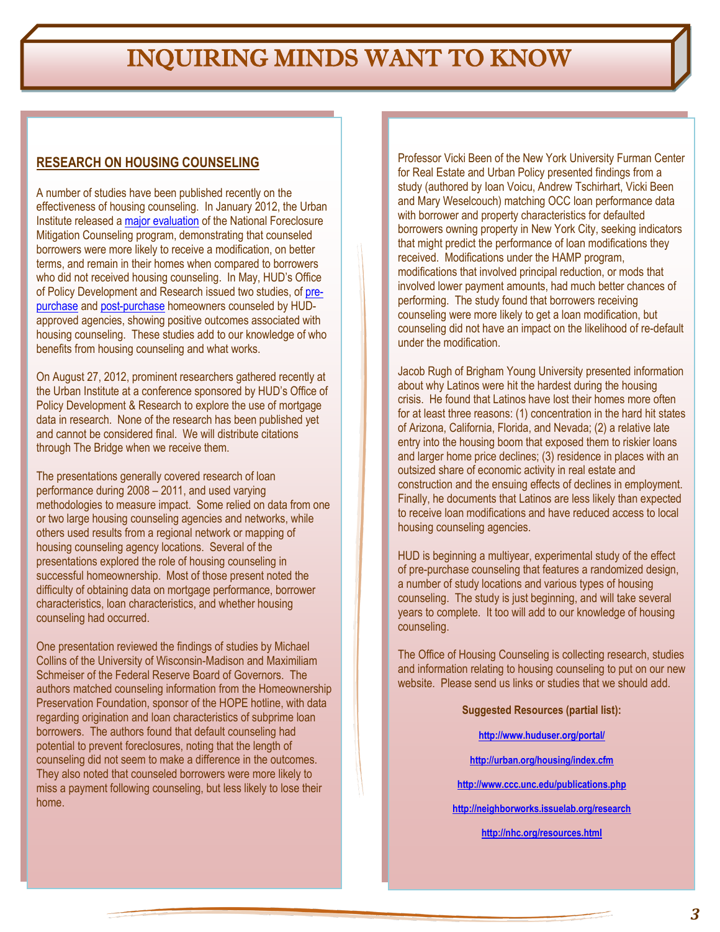## INQUIRING MINDS WANT TO KNOW

#### **RESEARCH ON HOUSING COUNSELING**

A number of studies have been published recently on the effectiveness of housing counseling. In January 2012, the Urban Institute released a [major evaluation](http://www.urban.org/uploadedpdf/412475-National-Foreclosure-Mitigation-Counseling-Program-Evaluation.pdf) of the National Foreclosure Mitigation Counseling program, demonstrating that counseled borrowers were more likely to receive a modification, on better terms, and remain in their homes when compared to borrowers who did not received housing counseling. In May, HUD's Office of Policy Development and Research issued two studies, of [pre](http://www.huduser.org/portal/publications/hsgfin/pre_purchase_counseling.html)[purchase](http://www.huduser.org/portal/publications/hsgfin/pre_purchase_counseling.html) an[d post-purchase](http://www.huduser.org/portal/publications/hsgfin/foreclosure_counseling.html) homeowners counseled by HUDapproved agencies, showing positive outcomes associated with housing counseling. These studies add to our knowledge of who benefits from housing counseling and what works.

On August 27, 2012, prominent researchers gathered recently at the Urban Institute at a conference sponsored by HUD's Office of Policy Development & Research to explore the use of mortgage data in research. None of the research has been published yet and cannot be considered final. We will distribute citations through The Bridge when we receive them.

The presentations generally covered research of loan performance during 2008 – 2011, and used varying methodologies to measure impact. Some relied on data from one or two large housing counseling agencies and networks, while others used results from a regional network or mapping of housing counseling agency locations. Several of the presentations explored the role of housing counseling in successful homeownership. Most of those present noted the difficulty of obtaining data on mortgage performance, borrower characteristics, loan characteristics, and whether housing counseling had occurred.

One presentation reviewed the findings of studies by Michael Collins of the University of Wisconsin-Madison and Maximiliam Schmeiser of the Federal Reserve Board of Governors. The authors matched counseling information from the Homeownership Preservation Foundation, sponsor of the HOPE hotline, with data regarding origination and loan characteristics of subprime loan borrowers. The authors found that default counseling had potential to prevent foreclosures, noting that the length of counseling did not seem to make a difference in the outcomes. They also noted that counseled borrowers were more likely to miss a payment following counseling, but less likely to lose their home.

Professor Vicki Been of the New York University Furman Center for Real Estate and Urban Policy presented findings from a study (authored by Ioan Voicu, Andrew Tschirhart, Vicki Been and Mary Weselcouch) matching OCC loan performance data with borrower and property characteristics for defaulted borrowers owning property in New York City, seeking indicators that might predict the performance of loan modifications they received. Modifications under the HAMP program, modifications that involved principal reduction, or mods that involved lower payment amounts, had much better chances of performing. The study found that borrowers receiving counseling were more likely to get a loan modification, but counseling did not have an impact on the likelihood of re-default under the modification.

Jacob Rugh of Brigham Young University presented information about why Latinos were hit the hardest during the housing crisis. He found that Latinos have lost their homes more often for at least three reasons: (1) concentration in the hard hit states of Arizona, California, Florida, and Nevada; (2) a relative late entry into the housing boom that exposed them to riskier loans and larger home price declines; (3) residence in places with an outsized share of economic activity in real estate and construction and the ensuing effects of declines in employment. Finally, he documents that Latinos are less likely than expected to receive loan modifications and have reduced access to local housing counseling agencies.

HUD is beginning a multiyear, experimental study of the effect of pre-purchase counseling that features a randomized design, a number of study locations and various types of housing counseling. The study is just beginning, and will take several years to complete. It too will add to our knowledge of housing counseling.

The Office of Housing Counseling is collecting research, studies and information relating to housing counseling to put on our new website. Please send us links or studies that we should add.

**Suggested Resources (partial list):**

**<http://www.huduser.org/portal/>**

**<http://urban.org/housing/index.cfm>**

**<http://www.ccc.unc.edu/publications.php>**

**<http://neighborworks.issuelab.org/research>**

**<http://nhc.org/resources.html>**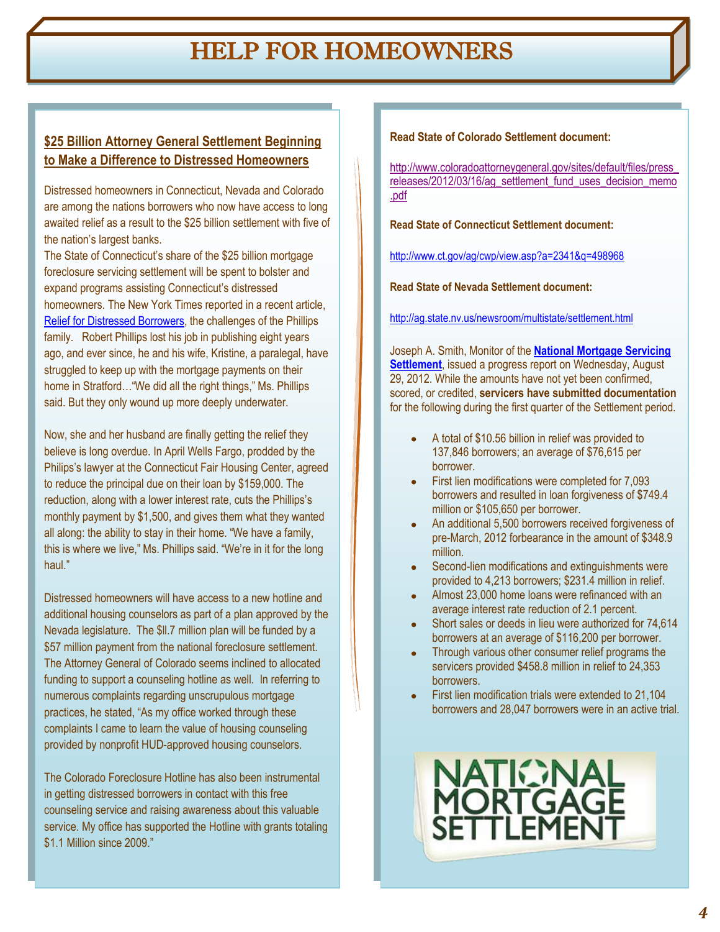## HELP FOR HOMEOWNERS

#### **\$25 Billion Attorney General Settlement Beginning to Make a Difference to Distressed Homeowners**

Distressed homeowners in Connecticut, Nevada and Colorado are among the nations borrowers who now have access to long awaited relief as a result to the \$25 billion settlement with five of the nation's largest banks.

The State of Connecticut's share of the \$25 billion mortgage foreclosure servicing settlement will be spent to bolster and expand programs assisting Connecticut's distressed homeowners. The New York Times reported in a recent article, [Relief for Distressed Borrowers,](http://www.nytimes.com/2012/08/05/realestate/connecticut-in-the-region-relief-for-distressed-borrowers.html?_r=1) the challenges of the Phillips family. Robert Phillips lost his job in publishing eight years ago, and ever since, he and his wife, Kristine, a paralegal, have struggled to keep up with the mortgage payments on their home in Stratford…"We did all the right things," Ms. Phillips said. But they only wound up more deeply underwater.

Now, she and her husband are finally getting the relief they believe is long overdue. In April Wells Fargo, prodded by the Philips's lawyer at the Connecticut Fair Housing Center, agreed to reduce the principal due on their loan by \$159,000. The reduction, along with a lower interest rate, cuts the Phillips's monthly payment by \$1,500, and gives them what they wanted all along: the ability to stay in their home. "We have a family, this is where we live," Ms. Phillips said. "We're in it for the long haul."

Distressed homeowners will have access to a new hotline and additional housing counselors as part of a plan approved by the Nevada legislature. The \$ll.7 million plan will be funded by a \$57 million payment from the national foreclosure settlement. The Attorney General of Colorado seems inclined to allocated funding to support a counseling hotline as well. In referring to numerous complaints regarding unscrupulous mortgage practices, he stated, "As my office worked through these complaints I came to learn the value of housing counseling provided by nonprofit HUD-approved housing counselors.

The Colorado Foreclosure Hotline has also been instrumental in getting distressed borrowers in contact with this free counseling service and raising awareness about this valuable service. My office has supported the Hotline with grants totaling \$1.1 Million since 2009."

**Read State of Colorado Settlement document:** 

[http://www.coloradoattorneygeneral.gov/sites/default/files/press\\_](http://www.coloradoattorneygeneral.gov/sites/default/files/press_releases/2012/03/16/ag_settlement_fund_uses_decision_memo.pdf) [releases/2012/03/16/ag\\_settlement\\_fund\\_uses\\_decision\\_memo](http://www.coloradoattorneygeneral.gov/sites/default/files/press_releases/2012/03/16/ag_settlement_fund_uses_decision_memo.pdf) [.pdf](http://www.coloradoattorneygeneral.gov/sites/default/files/press_releases/2012/03/16/ag_settlement_fund_uses_decision_memo.pdf)

**Read State of Connecticut Settlement document:**

<http://www.ct.gov/ag/cwp/view.asp?a=2341&q=498968>

**Read State of Nevada Settlement document:**

<http://ag.state.nv.us/newsroom/multistate/settlement.html>

Joseph A. Smith, Monitor of the **[National Mortgage Servicing](http://nationalmortgagesettlement.com/)  [Settlement](http://nationalmortgagesettlement.com/)**, issued a progress report on Wednesday, August 29, 2012. While the amounts have not yet been confirmed, scored, or credited, **servicers have submitted documentation** for the following during the first quarter of the Settlement period.

- A total of \$10.56 billion in relief was provided to 137,846 borrowers; an average of \$76,615 per borrower.
- First lien modifications were completed for 7,093 borrowers and resulted in loan forgiveness of \$749.4 million or \$105,650 per borrower.
- An additional 5,500 borrowers received forgiveness of pre-March, 2012 forbearance in the amount of \$348.9 million.
- Second-lien modifications and extinguishments were provided to 4,213 borrowers; \$231.4 million in relief.
- Almost 23,000 home loans were refinanced with an average interest rate reduction of 2.1 percent.
- Short sales or deeds in lieu were authorized for 74,614 borrowers at an average of \$116,200 per borrower.
- Through various other consumer relief programs the servicers provided \$458.8 million in relief to 24,353 **borrowers**
- First lien modification trials were extended to 21,104 borrowers and 28,047 borrowers were in an active trial.

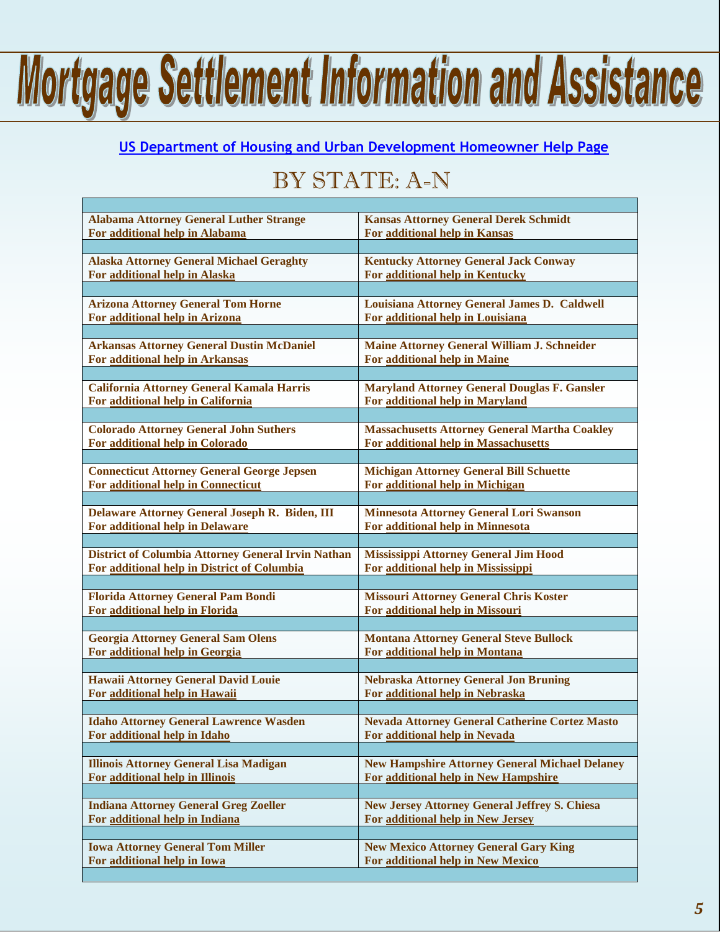## Mortgage Settlement Information and Assistance

#### **[US Department of Housing and Urban Development Homeowner Help Page](http://portal.hud.gov/hudportal/HUD?src=/homeownerhelp)**

## BY STATE: A-N

| <b>Alabama Attorney General Luther Strange</b>            | <b>Kansas Attorney General Derek Schmidt</b>          |
|-----------------------------------------------------------|-------------------------------------------------------|
| For additional help in Alabama                            | For additional help in Kansas                         |
| <b>Alaska Attorney General Michael Geraghty</b>           | <b>Kentucky Attorney General Jack Conway</b>          |
| For additional help in Alaska                             | For additional help in Kentucky                       |
| <b>Arizona Attorney General Tom Horne</b>                 | Louisiana Attorney General James D. Caldwell          |
| For additional help in Arizona                            | For additional help in Louisiana                      |
| <b>Arkansas Attorney General Dustin McDaniel</b>          | Maine Attorney General William J. Schneider           |
| <b>For additional help in Arkansas</b>                    | For additional help in Maine                          |
| California Attorney General Kamala Harris                 | <b>Maryland Attorney General Douglas F. Gansler</b>   |
| For additional help in California                         | For additional help in Maryland                       |
| <b>Colorado Attorney General John Suthers</b>             | <b>Massachusetts Attorney General Martha Coakley</b>  |
| For additional help in Colorado                           | For additional help in Massachusetts                  |
| <b>Connecticut Attorney General George Jepsen</b>         | <b>Michigan Attorney General Bill Schuette</b>        |
| For additional help in Connecticut                        | For additional help in Michigan                       |
| Delaware Attorney General Joseph R. Biden, III            | <b>Minnesota Attorney General Lori Swanson</b>        |
| For additional help in Delaware                           | For additional help in Minnesota                      |
| <b>District of Columbia Attorney General Irvin Nathan</b> | <b>Mississippi Attorney General Jim Hood</b>          |
| For additional help in District of Columbia               | For additional help in Mississippi                    |
| <b>Florida Attorney General Pam Bondi</b>                 | <b>Missouri Attorney General Chris Koster</b>         |
| For additional help in Florida                            | For additional help in Missouri                       |
| <b>Georgia Attorney General Sam Olens</b>                 | <b>Montana Attorney General Steve Bullock</b>         |
| For additional help in Georgia                            | <b>For additional help in Montana</b>                 |
| <b>Hawaii Attorney General David Louie</b>                | <b>Nebraska Attorney General Jon Bruning</b>          |
| For additional help in Hawaii                             | For additional help in Nebraska                       |
| <b>Idaho Attorney General Lawrence Wasden</b>             | <b>Nevada Attorney General Catherine Cortez Masto</b> |
| For additional help in Idaho                              | For additional help in Nevada                         |
| <b>Illinois Attorney General Lisa Madigan</b>             | <b>New Hampshire Attorney General Michael Delaney</b> |
| For additional help in Illinois                           | For additional help in New Hampshire                  |
| <b>Indiana Attorney General Greg Zoeller</b>              | <b>New Jersey Attorney General Jeffrey S. Chiesa</b>  |
| For additional help in Indiana                            | For additional help in New Jersey                     |
| <b>Iowa Attorney General Tom Miller</b>                   | <b>New Mexico Attorney General Gary King</b>          |
| For additional help in Iowa                               | For additional help in New Mexico                     |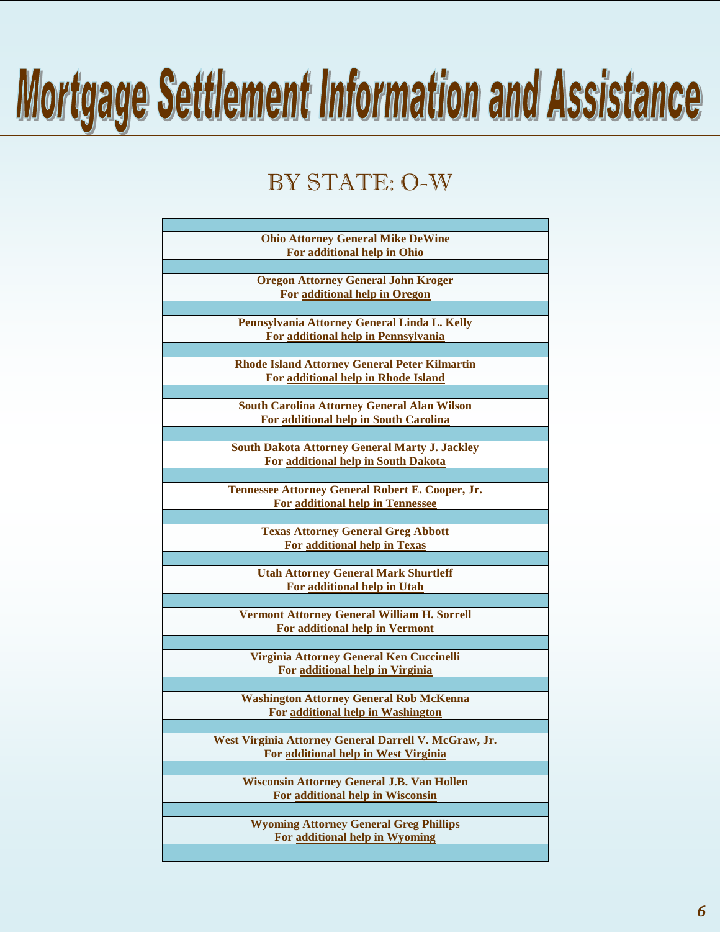# Mortgage Settlement Information and Assistance

## BY STATE: O-W

| <b>Ohio Attorney General Mike DeWine</b>              |
|-------------------------------------------------------|
| For additional help in Ohio                           |
|                                                       |
| <b>Oregon Attorney General John Kroger</b>            |
| For additional help in Oregon                         |
|                                                       |
| Pennsylvania Attorney General Linda L. Kelly          |
| For additional help in Pennsylvania                   |
|                                                       |
| <b>Rhode Island Attorney General Peter Kilmartin</b>  |
| For additional help in Rhode Island                   |
|                                                       |
|                                                       |
| <b>South Carolina Attorney General Alan Wilson</b>    |
| For additional help in South Carolina                 |
|                                                       |
| <b>South Dakota Attorney General Marty J. Jackley</b> |
| For additional help in South Dakota                   |
|                                                       |
| Tennessee Attorney General Robert E. Cooper, Jr.      |
| For additional help in Tennessee                      |
|                                                       |
| <b>Texas Attorney General Greg Abbott</b>             |
| For additional help in Texas                          |
|                                                       |
| <b>Utah Attorney General Mark Shurtleff</b>           |
| For additional help in Utah                           |
|                                                       |
| <b>Vermont Attorney General William H. Sorrell</b>    |
| For additional help in Vermont                        |
|                                                       |
| Virginia Attorney General Ken Cuccinelli              |
| For additional help in Virginia                       |
|                                                       |
| <b>Washington Attorney General Rob McKenna</b>        |
| For additional help in Washington                     |
|                                                       |
| West Virginia Attorney General Darrell V. McGraw, Jr. |
| For additional help in West Virginia                  |
|                                                       |
|                                                       |
| <b>Wisconsin Attorney General J.B. Van Hollen</b>     |
| For additional help in Wisconsin                      |
|                                                       |
| <b>Wyoming Attorney General Greg Phillips</b>         |
| For additional help in Wyoming                        |
|                                                       |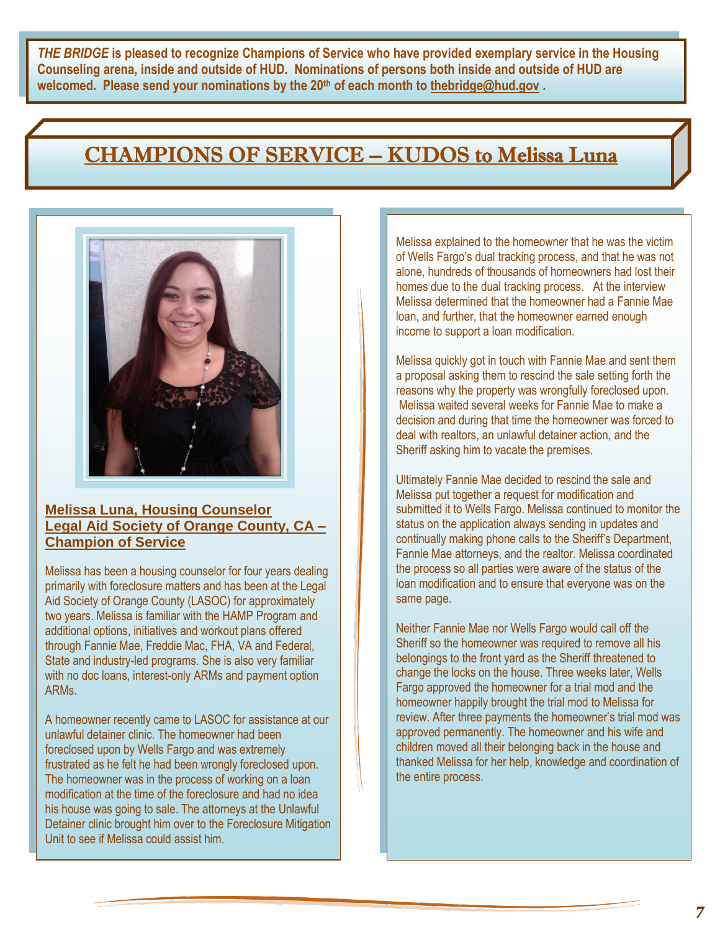*THE BRIDGE* **is pleased to recognize Champions of Service who have provided exemplary service in the Housing Counseling arena, inside and outside of HUD. Nominations of persons both inside and outside of HUD are welcomed. Please send your nominations by the 20th of each month to [thebridge@hud.gov](mailto:thebridge@hud.gov) .**

### CHAMPIONS OF SERVICE – KUDOS to Melissa Luna



#### **Melissa Luna, Housing Counselor Legal Aid Society of Orange County, CA – Champion of Service**

Melissa has been a housing counselor for four years dealing primarily with foreclosure matters and has been at the Legal Aid Society of Orange County (LASOC) for approximately two years. Melissa is familiar with the HAMP Program and additional options, initiatives and workout plans offered through Fannie Mae, Freddie Mac, FHA, VA and Federal, State and industry-led programs. She is also very familiar with no doc loans, interest-only ARMs and payment option ARMs.

A homeowner recently came to LASOC for assistance at our unlawful detainer clinic. The homeowner had been foreclosed upon by Wells Fargo and was extremely frustrated as he felt he had been wrongly foreclosed upon. The homeowner was in the process of working on a loan modification at the time of the foreclosure and had no idea his house was going to sale. The attorneys at the Unlawful Detainer clinic brought him over to the Foreclosure Mitigation Unit to see if Melissa could assist him.

Melissa explained to the homeowner that he was the victim of Wells Fargo's dual tracking process, and that he was not alone, hundreds of thousands of homeowners had lost their homes due to the dual tracking process. At the interview Melissa determined that the homeowner had a Fannie Mae loan, and further, that the homeowner earned enough income to support a loan modification.

Melissa quickly got in touch with Fannie Mae and sent them a proposal asking them to rescind the sale setting forth the reasons why the property was wrongfully foreclosed upon. Melissa waited several weeks for Fannie Mae to make a decision and during that time the homeowner was forced to deal with realtors, an unlawful detainer action, and the Sheriff asking him to vacate the premises.

Ultimately Fannie Mae decided to rescind the sale and Melissa put together a request for modification and submitted it to Wells Fargo. Melissa continued to monitor the status on the application always sending in updates and continually making phone calls to the Sheriff's Department, Fannie Mae attorneys, and the realtor. Melissa coordinated the process so all parties were aware of the status of the loan modification and to ensure that everyone was on the same page.

Neither Fannie Mae nor Wells Fargo would call off the Sheriff so the homeowner was required to remove all his belongings to the front yard as the Sheriff threatened to change the locks on the house. Three weeks later, Wells Fargo approved the homeowner for a trial mod and the homeowner happily brought the trial mod to Melissa for review. After three payments the homeowner's trial mod was approved permanently. The homeowner and his wife and children moved all their belonging back in the house and thanked Melissa for her help, knowledge and coordination of the entire process.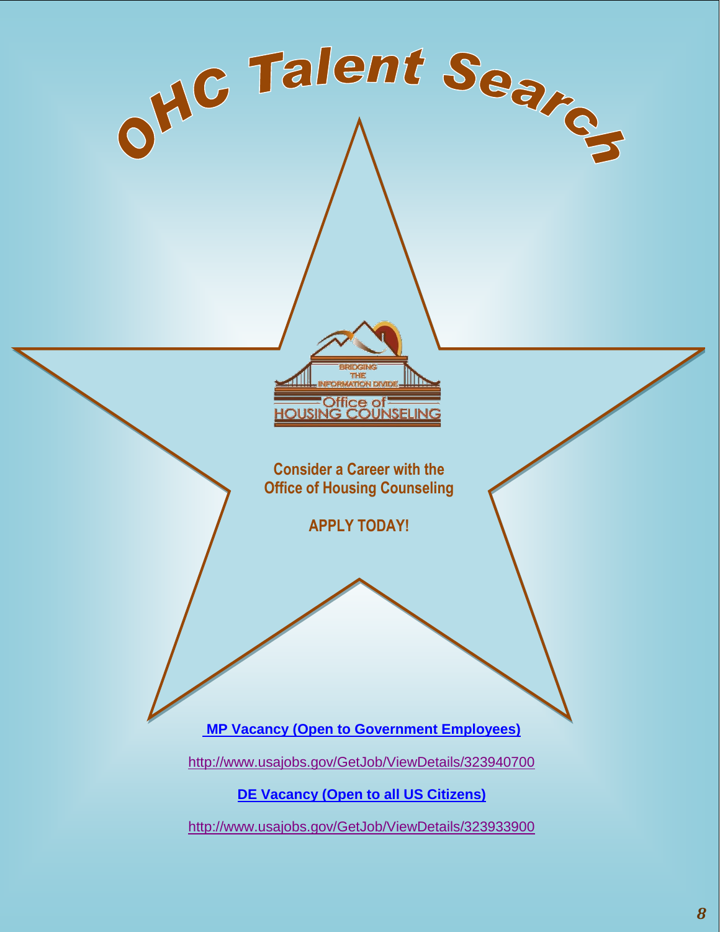